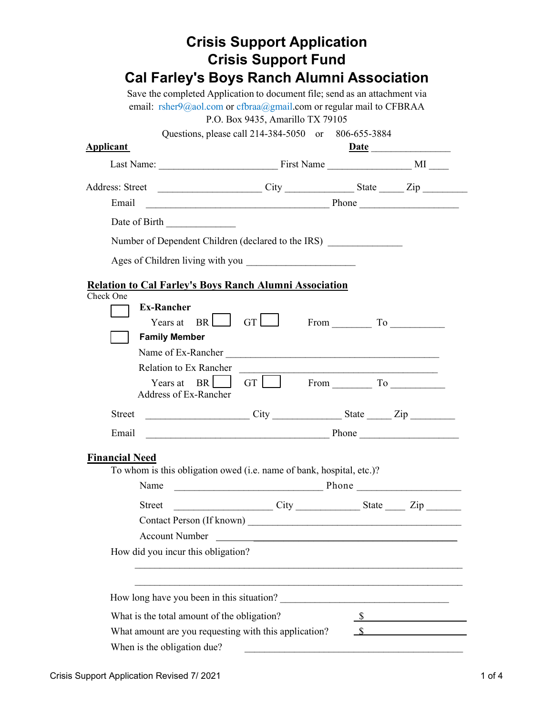|                                             | <b>Crisis Support Application</b><br><b>Crisis Support Fund</b>                                                                                                                                                                                                                                                                                                                      |                             |
|---------------------------------------------|--------------------------------------------------------------------------------------------------------------------------------------------------------------------------------------------------------------------------------------------------------------------------------------------------------------------------------------------------------------------------------------|-----------------------------|
|                                             | <b>Cal Farley's Boys Ranch Alumni Association</b>                                                                                                                                                                                                                                                                                                                                    |                             |
|                                             | Save the completed Application to document file; send as an attachment via                                                                                                                                                                                                                                                                                                           |                             |
|                                             | email: $rsher9@aol.com$ or $cfbraa@gmail.com$ or regular mail to CFBRAA<br>P.O. Box 9435, Amarillo TX 79105                                                                                                                                                                                                                                                                          |                             |
|                                             | Questions, please call 214-384-5050 or 806-655-3884                                                                                                                                                                                                                                                                                                                                  |                             |
| <b>Applicant</b>                            |                                                                                                                                                                                                                                                                                                                                                                                      |                             |
|                                             |                                                                                                                                                                                                                                                                                                                                                                                      |                             |
|                                             |                                                                                                                                                                                                                                                                                                                                                                                      |                             |
| Email                                       |                                                                                                                                                                                                                                                                                                                                                                                      |                             |
| Date of Birth                               |                                                                                                                                                                                                                                                                                                                                                                                      |                             |
|                                             | Number of Dependent Children (declared to the IRS)                                                                                                                                                                                                                                                                                                                                   |                             |
|                                             |                                                                                                                                                                                                                                                                                                                                                                                      |                             |
|                                             |                                                                                                                                                                                                                                                                                                                                                                                      |                             |
|                                             | Relation to Cal Farley's Boys Ranch Alumni Association                                                                                                                                                                                                                                                                                                                               |                             |
| Check One<br><b>Ex-Rancher</b>              |                                                                                                                                                                                                                                                                                                                                                                                      |                             |
| Years at                                    | $BR$ $GT$                                                                                                                                                                                                                                                                                                                                                                            | From To                     |
| <b>Family Member</b>                        |                                                                                                                                                                                                                                                                                                                                                                                      |                             |
|                                             | Name of Ex-Rancher                                                                                                                                                                                                                                                                                                                                                                   |                             |
| <b>Relation to Ex Rancher</b>               |                                                                                                                                                                                                                                                                                                                                                                                      |                             |
| Years at $BR$<br>Address of Ex-Rancher      | GT $\Box$ From $\Box$ To $\Box$                                                                                                                                                                                                                                                                                                                                                      |                             |
| <b>Street</b>                               | $City$ State $\qquad \qquad \text{City}$ State $\qquad \qquad \text{Lip}$                                                                                                                                                                                                                                                                                                            |                             |
| Email                                       |                                                                                                                                                                                                                                                                                                                                                                                      | Phone $\_\_$                |
| <b>Financial Need</b><br>Name               | To whom is this obligation owed (i.e. name of bank, hospital, etc.)?                                                                                                                                                                                                                                                                                                                 |                             |
| <b>Street</b>                               | $City$ State $\frac{}{}$ $\frac{}{}$ $\frac{}{}$ $\frac{}{}$ $\frac{}{}$ $\frac{}{}$ $\frac{}{}$ $\frac{}{}$ $\frac{}{}$ $\frac{}{}$ $\frac{}{}$ $\frac{}{}$ $\frac{}{}$ $\frac{}{}$ $\frac{}{}$ $\frac{}{}$ $\frac{}{}$ $\frac{}{}$ $\frac{}{}$ $\frac{}{}$ $\frac{}{}$ $\frac{}{}$ $\frac{}{}$ $\frac{}{}$ $\frac{}{}$ $\frac{}{}$ $\frac{}{}$ $\frac{}{}$ $\frac{}{}$ $\frac{}{}$ |                             |
|                                             |                                                                                                                                                                                                                                                                                                                                                                                      |                             |
| <b>Account Number</b>                       |                                                                                                                                                                                                                                                                                                                                                                                      |                             |
| How did you incur this obligation?          |                                                                                                                                                                                                                                                                                                                                                                                      |                             |
|                                             |                                                                                                                                                                                                                                                                                                                                                                                      |                             |
|                                             |                                                                                                                                                                                                                                                                                                                                                                                      |                             |
| What is the total amount of the obligation? |                                                                                                                                                                                                                                                                                                                                                                                      | $\frac{\text{S}}{\text{S}}$ |
| When is the obligation due?                 | What amount are you requesting with this application?                                                                                                                                                                                                                                                                                                                                |                             |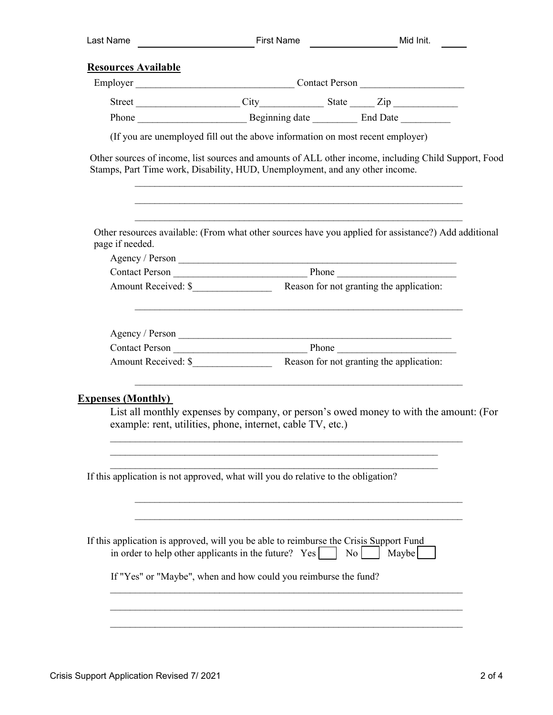| Last Name                  | First Name <b>Midlum</b> Midluit.                                                                                                                                                                                  |                                                                                                   |
|----------------------------|--------------------------------------------------------------------------------------------------------------------------------------------------------------------------------------------------------------------|---------------------------------------------------------------------------------------------------|
| <b>Resources Available</b> |                                                                                                                                                                                                                    |                                                                                                   |
|                            |                                                                                                                                                                                                                    |                                                                                                   |
|                            |                                                                                                                                                                                                                    |                                                                                                   |
|                            |                                                                                                                                                                                                                    |                                                                                                   |
|                            | (If you are unemployed fill out the above information on most recent employer)                                                                                                                                     |                                                                                                   |
|                            | Other sources of income, list sources and amounts of ALL other income, including Child Support, Food<br>Stamps, Part Time work, Disability, HUD, Unemployment, and any other income.                               |                                                                                                   |
| page if needed.            | Other resources available: (From what other sources have you applied for assistance?) Add additional                                                                                                               |                                                                                                   |
|                            |                                                                                                                                                                                                                    |                                                                                                   |
|                            |                                                                                                                                                                                                                    |                                                                                                   |
|                            |                                                                                                                                                                                                                    |                                                                                                   |
| <b>Expenses (Monthly)</b>  | <u> 1989 - Johann Stoff, amerikansk politiker (d. 1989)</u><br>List all monthly expenses by company, or person's owed money to with the amount: (For<br>example: rent, utilities, phone, internet, cable TV, etc.) |                                                                                                   |
|                            | If this application is not approved, what will you do relative to the obligation?                                                                                                                                  |                                                                                                   |
|                            | If this application is approved, will you be able to reimburse the Crisis Support Fund<br>in order to help other applicants in the future? $Yes$                                                                   | $\begin{array}{c c} \n\hline\n\end{array}$ No $\begin{array}{c c} \n\hline\n\end{array}$<br>Maybe |
|                            | If "Yes" or "Maybe", when and how could you reimburse the fund?                                                                                                                                                    |                                                                                                   |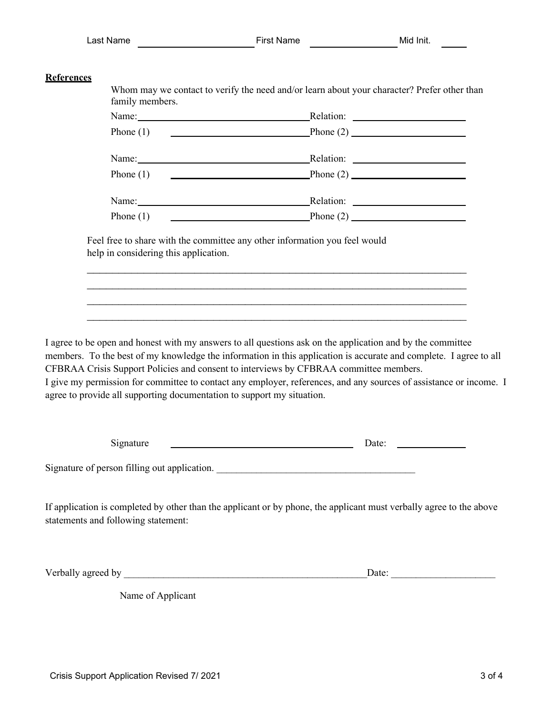## **References**

Whom may we contact to verify the need and/or learn about your character? Prefer other than family members.

| Name:       | Relation:                                                                                                                                  |  |
|-------------|--------------------------------------------------------------------------------------------------------------------------------------------|--|
| Phone $(1)$ | $\text{Phone (2)}$<br><u> 1989 - Johann Barn, mars ann an t-Amhain Aonaich an t-Aonaich an t-Aonaich ann an t-Aonaich ann an t-Aonaich</u> |  |
|             |                                                                                                                                            |  |
| Name:       | Relation:                                                                                                                                  |  |
| Phone $(1)$ | $\text{Phone (2)}$                                                                                                                         |  |
|             |                                                                                                                                            |  |
| Name:       | Relation:                                                                                                                                  |  |
| Phone $(1)$ |                                                                                                                                            |  |

Feel free to share with the committee any other information you feel would help in considering this application.

I agree to be open and honest with my answers to all questions ask on the application and by the committee members. To the best of my knowledge the information in this application is accurate and complete. I agree to all CFBRAA Crisis Support Policies and consent to interviews by CFBRAA committee members. I give my permission for committee to contact any employer, references, and any sources of assistance or income. I agree to provide all supporting documentation to support my situation.

 $\_$  . The contribution of the contribution of the contribution of the contribution of the contribution of the contribution of the contribution of the contribution of the contribution of the contribution of the contributio  $\_$  . The contribution of the contribution of  $\mathcal{L}_1$  ,  $\mathcal{L}_2$  ,  $\mathcal{L}_3$  ,  $\mathcal{L}_4$  ,  $\mathcal{L}_5$  ,  $\mathcal{L}_6$  ,  $\mathcal{L}_7$  ,  $\mathcal{L}_8$  ,  $\mathcal{L}_9$  ,  $\mathcal{L}_1$  ,  $\mathcal{L}_2$  ,  $\mathcal{L}_3$  ,  $\mathcal{L}_5$  ,  $\mathcal{L}_7$  ,  $\mathcal{L}_$  $\_$  . The contribution of the contribution of the contribution of the contribution of the contribution of the contribution of the contribution of the contribution of the contribution of the contribution of the contributio  $\_$  . The contribution of the contribution of  $\mathcal{L}_1$  ,  $\mathcal{L}_2$  ,  $\mathcal{L}_3$  ,  $\mathcal{L}_4$  ,  $\mathcal{L}_5$  ,  $\mathcal{L}_6$  ,  $\mathcal{L}_7$  ,  $\mathcal{L}_8$  ,  $\mathcal{L}_9$  ,  $\mathcal{L}_1$  ,  $\mathcal{L}_2$  ,  $\mathcal{L}_3$  ,  $\mathcal{L}_5$  ,  $\mathcal{L}_7$  ,  $\mathcal{L}_$ 

| Signature                                    | Date: |
|----------------------------------------------|-------|
| Signature of person filling out application. |       |

If application is completed by other than the applicant or by phone, the applicant must verbally agree to the above statements and following statement:

Verbally agreed by  $\Box$ 

Name of Applicant